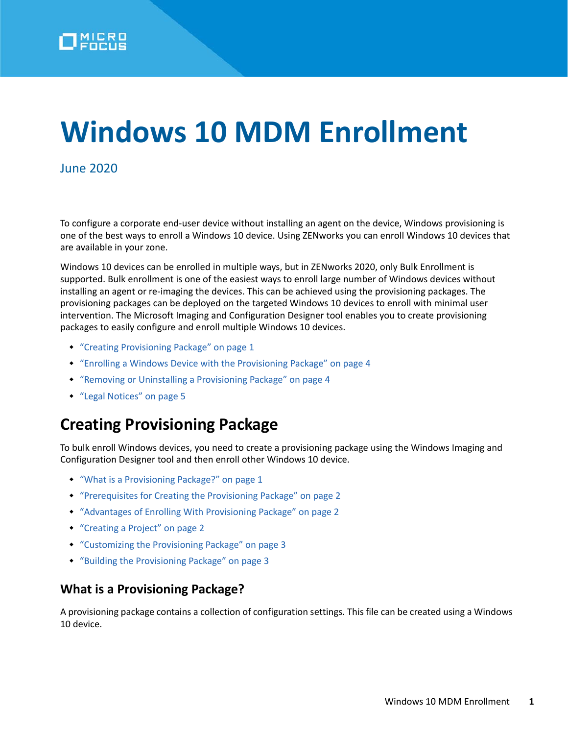# **Windows 10 MDM Enrollment**

#### June 2020

To configure a corporate end-user device without installing an agent on the device, Windows provisioning is one of the best ways to enroll a Windows 10 device. Using ZENworks you can enroll Windows 10 devices that are available in your zone.

Windows 10 devices can be enrolled in multiple ways, but in ZENworks 2020, only Bulk Enrollment is supported. Bulk enrollment is one of the easiest ways to enroll large number of Windows devices without installing an agent or re-imaging the devices. This can be achieved using the provisioning packages. The provisioning packages can be deployed on the targeted Windows 10 devices to enroll with minimal user intervention. The Microsoft Imaging and Configuration Designer tool enables you to create provisioning packages to easily configure and enroll multiple Windows 10 devices.

- ["Creating Provisioning Package" on page 1](#page-0-1)
- ["Enrolling a Windows Device with the Provisioning Package" on page 4](#page-3-0)
- ["Removing or Uninstalling a Provisioning Package" on page 4](#page-3-1)
- ["Legal Notices" on page 5](#page-4-0)

# <span id="page-0-1"></span>**Creating Provisioning Package**

To bulk enroll Windows devices, you need to create a provisioning package using the Windows Imaging and Configuration Designer tool and then enroll other Windows 10 device.

- ["What is a Provisioning Package?" on page 1](#page-0-0)
- ["Prerequisites for Creating the Provisioning Package" on page 2](#page-1-0)
- ["Advantages of Enrolling With Provisioning Package" on page 2](#page-1-1)
- ["Creating a Project" on page 2](#page-1-2)
- ["Customizing the Provisioning Package" on page 3](#page-2-0)
- ["Building the Provisioning Package" on page 3](#page-2-1)

#### <span id="page-0-0"></span>**What is a Provisioning Package?**

A provisioning package contains a collection of configuration settings. This file can be created using a Windows 10 device.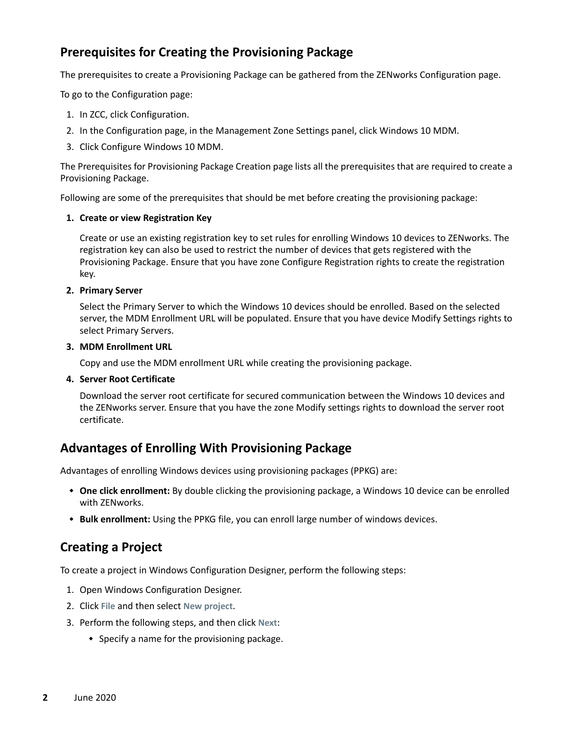## <span id="page-1-0"></span>**Prerequisites for Creating the Provisioning Package**

The prerequisites to create a Provisioning Package can be gathered from the ZENworks Configuration page.

To go to the Configuration page:

- 1. In ZCC, click Configuration.
- 2. In the Configuration page, in the Management Zone Settings panel, click Windows 10 MDM.
- 3. Click Configure Windows 10 MDM.

The Prerequisites for Provisioning Package Creation page lists all the prerequisites that are required to create a Provisioning Package.

Following are some of the prerequisites that should be met before creating the provisioning package:

#### **1. Create or view Registration Key**

Create or use an existing registration key to set rules for enrolling Windows 10 devices to ZENworks. The registration key can also be used to restrict the number of devices that gets registered with the Provisioning Package. Ensure that you have zone Configure Registration rights to create the registration key.

#### **2. Primary Server**

Select the Primary Server to which the Windows 10 devices should be enrolled. Based on the selected server, the MDM Enrollment URL will be populated. Ensure that you have device Modify Settings rights to select Primary Servers.

#### **3. MDM Enrollment URL**

Copy and use the MDM enrollment URL while creating the provisioning package.

#### **4. Server Root Certificate**

Download the server root certificate for secured communication between the Windows 10 devices and the ZENworks server. Ensure that you have the zone Modify settings rights to download the server root certificate.

## <span id="page-1-1"></span>**Advantages of Enrolling With Provisioning Package**

Advantages of enrolling Windows devices using provisioning packages (PPKG) are:

- **One click enrollment:** By double clicking the provisioning package, a Windows 10 device can be enrolled with ZENworks.
- **Bulk enrollment:** Using the PPKG file, you can enroll large number of windows devices.

## <span id="page-1-2"></span>**Creating a Project**

To create a project in Windows Configuration Designer, perform the following steps:

- 1. Open Windows Configuration Designer.
- 2. Click **File** and then select **New project**.
- 3. Perform the following steps, and then click **Next**:
	- Specify a name for the provisioning package.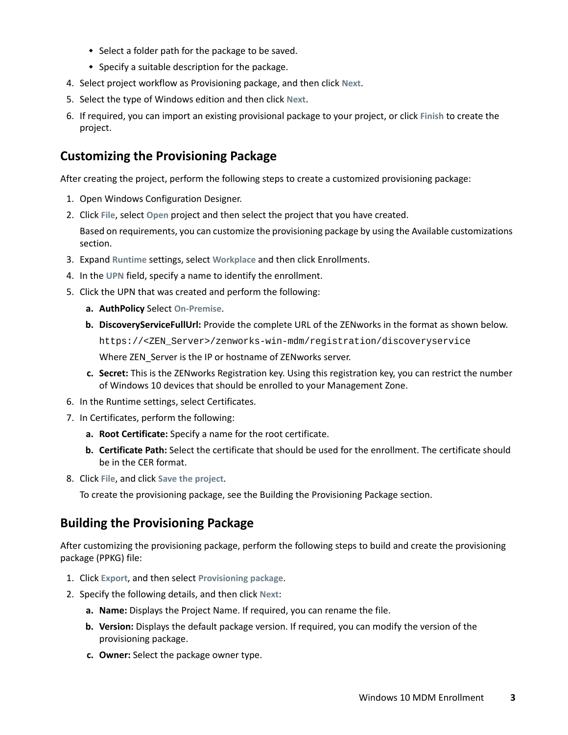- Select a folder path for the package to be saved.
- $\bullet$  Specify a suitable description for the package.
- 4. Select project workflow as Provisioning package, and then click **Next**.
- 5. Select the type of Windows edition and then click **Next**.
- 6. If required, you can import an existing provisional package to your project, or click **Finish** to create the project.

## <span id="page-2-0"></span>**Customizing the Provisioning Package**

After creating the project, perform the following steps to create a customized provisioning package:

- 1. Open Windows Configuration Designer.
- 2. Click **File**, select **Open** project and then select the project that you have created.

Based on requirements, you can customize the provisioning package by using the Available customizations section.

- 3. Expand **Runtime** settings, select **Workplace** and then click Enrollments.
- 4. In the **UPN** field, specify a name to identify the enrollment.
- 5. Click the UPN that was created and perform the following:
	- **a. AuthPolicy** Select **On-Premise**.
	- **b. DiscoveryServiceFullUrl:** Provide the complete URL of the ZENworks in the format as shown below. https://<ZEN\_Server>/zenworks-win-mdm/registration/discoveryservice

Where ZEN\_Server is the IP or hostname of ZENworks server.

- **c. Secret:** This is the ZENworks Registration key. Using this registration key, you can restrict the number of Windows 10 devices that should be enrolled to your Management Zone.
- 6. In the Runtime settings, select Certificates.
- 7. In Certificates, perform the following:
	- **a. Root Certificate:** Specify a name for the root certificate.
	- **b. Certificate Path:** Select the certificate that should be used for the enrollment. The certificate should be in the CER format.
- 8. Click **File**, and click **Save the project**.

To create the provisioning package, see the Building the Provisioning Package section.

## <span id="page-2-1"></span>**Building the Provisioning Package**

After customizing the provisioning package, perform the following steps to build and create the provisioning package (PPKG) file:

- 1. Click **Export**, and then select **Provisioning package**.
- 2. Specify the following details, and then click **Next**:
	- **a. Name:** Displays the Project Name. If required, you can rename the file.
	- **b. Version:** Displays the default package version. If required, you can modify the version of the provisioning package.
	- **c. Owner:** Select the package owner type.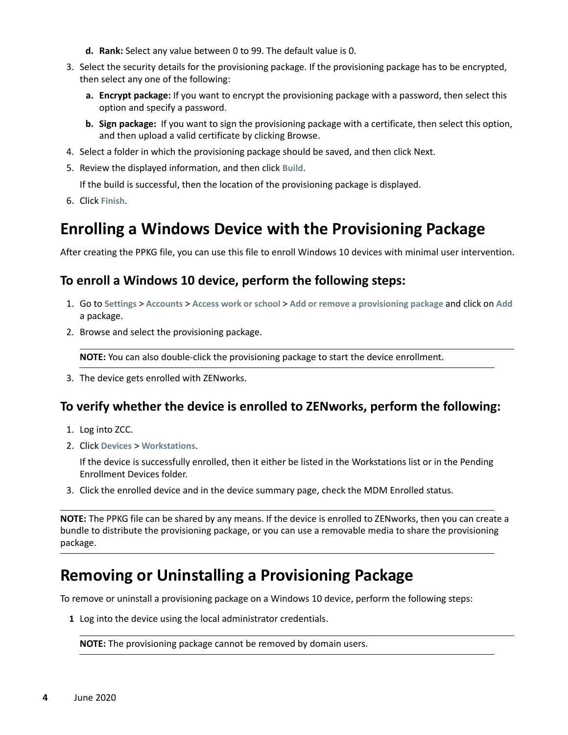- **d. Rank:** Select any value between 0 to 99. The default value is 0.
- 3. Select the security details for the provisioning package. If the provisioning package has to be encrypted, then select any one of the following:
	- **a. Encrypt package:** If you want to encrypt the provisioning package with a password, then select this option and specify a password.
	- **b. Sign package:** If you want to sign the provisioning package with a certificate, then select this option, and then upload a valid certificate by clicking Browse.
- 4. Select a folder in which the provisioning package should be saved, and then click Next.
- 5. Review the displayed information, and then click **Build**.

If the build is successful, then the location of the provisioning package is displayed.

6. Click **Finish**.

# <span id="page-3-0"></span>**Enrolling a Windows Device with the Provisioning Package**

After creating the PPKG file, you can use this file to enroll Windows 10 devices with minimal user intervention.

## **To enroll a Windows 10 device, perform the following steps:**

- 1. Go to **Settings** > **Accounts** > **Access work or school** > **Add or remove a provisioning package** and click on **Add** a package.
- 2. Browse and select the provisioning package.

**NOTE:** You can also double-click the provisioning package to start the device enrollment.

3. The device gets enrolled with ZENworks.

## **To verify whether the device is enrolled to ZENworks, perform the following:**

- 1. Log into ZCC.
- 2. Click **Devices** > **Workstations**.

If the device is successfully enrolled, then it either be listed in the Workstations list or in the Pending Enrollment Devices folder.

3. Click the enrolled device and in the device summary page, check the MDM Enrolled status.

**NOTE:** The PPKG file can be shared by any means. If the device is enrolled to ZENworks, then you can create a bundle to distribute the provisioning package, or you can use a removable media to share the provisioning package.

# <span id="page-3-1"></span>**Removing or Uninstalling a Provisioning Package**

To remove or uninstall a provisioning package on a Windows 10 device, perform the following steps:

**1** Log into the device using the local administrator credentials.

**NOTE:** The provisioning package cannot be removed by domain users.